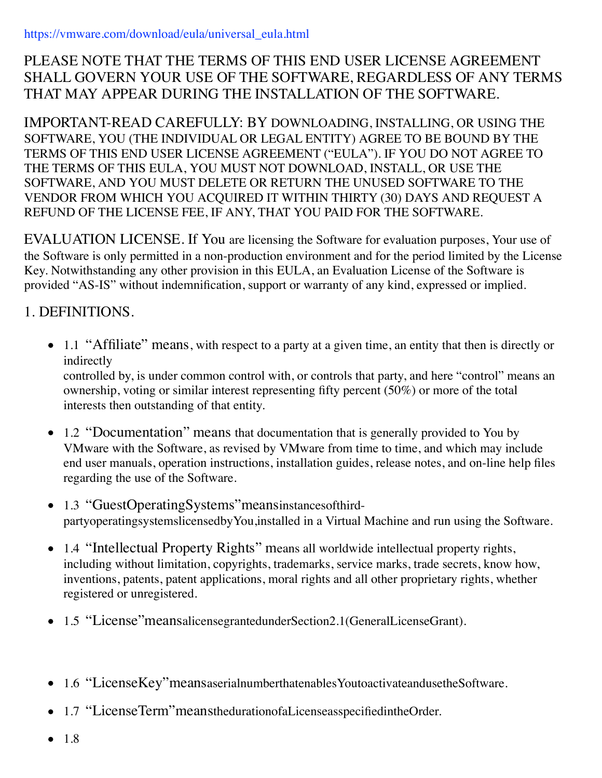### PLEASE NOTE THAT THE TERMS OF THIS END USER LICENSE AGREEMENT SHALL GOVERN YOUR USE OF THE SOFTWARE, REGARDLESS OF ANY TERMS THAT MAY APPEAR DURING THE INSTALLATION OF THE SOFTWARE.

IMPORTANT-READ CAREFULLY: BY DOWNLOADING, INSTALLING, OR USING THE SOFTWARE, YOU (THE INDIVIDUAL OR LEGAL ENTITY) AGREE TO BE BOUND BY THE TERMS OF THIS END USER LICENSE AGREEMENT ("EULA"). IF YOU DO NOT AGREE TO THE TERMS OF THIS EULA, YOU MUST NOT DOWNLOAD, INSTALL, OR USE THE SOFTWARE, AND YOU MUST DELETE OR RETURN THE UNUSED SOFTWARE TO THE VENDOR FROM WHICH YOU ACQUIRED IT WITHIN THIRTY (30) DAYS AND REQUEST A REFUND OF THE LICENSE FEE, IF ANY, THAT YOU PAID FOR THE SOFTWARE.

EVALUATION LICENSE. If You are licensing the Software for evaluation purposes, Your use of the Software is only permitted in a non-production environment and for the period limited by the License Key. Notwithstanding any other provision in this EULA, an Evaluation License of the Software is provided "AS-IS" without indemnification, support or warranty of any kind, expressed or implied.

# 1. DEFINITIONS.

• 1.1 "Affiliate" means, with respect to a party at a given time, an entity that then is directly or indirectly

controlled by, is under common control with, or controls that party, and here "control" means an ownership, voting or similar interest representing fifty percent (50%) or more of the total interests then outstanding of that entity.

- 1.2 "Documentation" means that documentation that is generally provided to You by VMware with the Software, as revised by VMware from time to time, and which may include end user manuals, operation instructions, installation guides, release notes, and on-line help files regarding the use of the Software.
- 1.3 "GuestOperatingSystems" meansinstances of thirdpartyoperatingsystemslicensedbyYou,installed in a Virtual Machine and run using the Software.
- 1.4 "Intellectual Property Rights" means all worldwide intellectual property rights, including without limitation, copyrights, trademarks, service marks, trade secrets, know how, inventions, patents, patent applications, moral rights and all other proprietary rights, whether registered or unregistered.
- 1.5 "License"meansalicensegrantedunderSection2.1(GeneralLicenseGrant).
- 1.6 "LicenseKey"meansaserialnumberthatenablesYoutoactivateandusetheSoftware.
- 1.7 "LicenseTerm"meansthedurationofaLicenseasspecifiedintheOrder.
- 1.8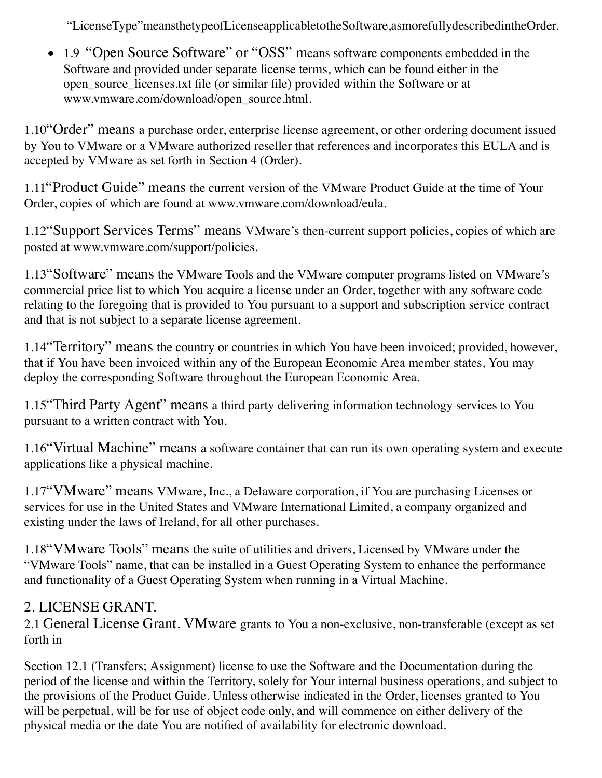"LicenseType"meansthetypeofLicenseapplicabletotheSoftware,asmorefullydescribedintheOrder.

• 1.9 "Open Source Software" or "OSS" means software components embedded in the Software and provided under separate license terms, which can be found either in the open\_source\_licenses.txt file (or similar file) provided within the Software or at www.vmware.com/download/open\_source.html.

1.10"Order" means a purchase order, enterprise license agreement, or other ordering document issued by You to VMware or a VMware authorized reseller that references and incorporates this EULA and is accepted by VMware as set forth in Section 4 (Order).

1.11"Product Guide" means the current version of the VMware Product Guide at the time of Your Order, copies of which are found at www.vmware.com/download/eula.

1.12"Support Services Terms" means VMware's then-current support policies, copies of which are posted at www.vmware.com/support/policies.

1.13"Software" means the VMware Tools and the VMware computer programs listed on VMware's commercial price list to which You acquire a license under an Order, together with any software code relating to the foregoing that is provided to You pursuant to a support and subscription service contract and that is not subject to a separate license agreement.

1.14"Territory" means the country or countries in which You have been invoiced; provided, however, that if You have been invoiced within any of the European Economic Area member states, You may deploy the corresponding Software throughout the European Economic Area.

1.15"Third Party Agent" means a third party delivering information technology services to You pursuant to a written contract with You.

1.16"Virtual Machine" means a software container that can run its own operating system and execute applications like a physical machine.

1.17"VMware" means VMware, Inc., a Delaware corporation, if You are purchasing Licenses or services for use in the United States and VMware International Limited, a company organized and existing under the laws of Ireland, for all other purchases.

1.18"VMware Tools" means the suite of utilities and drivers, Licensed by VMware under the "VMware Tools" name, that can be installed in a Guest Operating System to enhance the performance and functionality of a Guest Operating System when running in a Virtual Machine.

## 2. LICENSE GRANT.

2.1 General License Grant. VMware grants to You a non-exclusive, non-transferable (except as set forth in

Section 12.1 (Transfers; Assignment) license to use the Software and the Documentation during the period of the license and within the Territory, solely for Your internal business operations, and subject to the provisions of the Product Guide. Unless otherwise indicated in the Order, licenses granted to You will be perpetual, will be for use of object code only, and will commence on either delivery of the physical media or the date You are notified of availability for electronic download.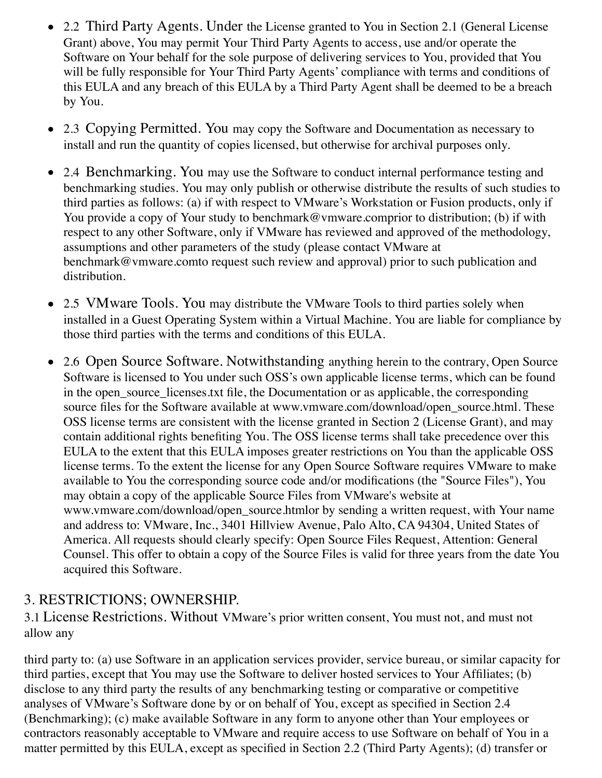- 2.2 Third Party Agents. Under the License granted to You in Section 2.1 (General License Grant) above, You may permit Your Third Party Agents to access, use and/or operate the Software on Your behalf for the sole purpose of delivering services to You, provided that You will be fully responsible for Your Third Party Agents' compliance with terms and conditions of this EULA and any breach of this EULA by a Third Party Agent shall be deemed to be a breach by You.
- 2.3 Copying Permitted. You may copy the Software and Documentation as necessary to install and run the quantity of copies licensed, but otherwise for archival purposes only.
- 2.4 Benchmarking. You may use the Software to conduct internal performance testing and benchmarking studies. You may only publish or otherwise distribute the results of such studies to third parties as follows: (a) if with respect to VMware's Workstation or Fusion products, only if You provide a copy of Your study to benchmark@vmware.comprior to distribution; (b) if with respect to any other Software, only if VMware has reviewed and approved of the methodology, assumptions and other parameters of the study (please contact VMware at benchmark@vmware.comto request such review and approval) prior to such publication and distribution.
- 2.5 VMware Tools. You may distribute the VMware Tools to third parties solely when  $\bullet$ installed in a Guest Operating System within a Virtual Machine. You are liable for compliance by those third parties with the terms and conditions of this EULA.
- 2.6 Open Source Software. Notwithstanding anything herein to the contrary, Open Source Software is licensed to You under such OSS's own applicable license terms, which can be found in the open\_source\_licenses.txt file, the Documentation or as applicable, the corresponding source files for the Software available at www.vmware.com/download/open\_source.html. These OSS license terms are consistent with the license granted in Section 2 (License Grant), and may contain additional rights benefiting You. The OSS license terms shall take precedence over this EULA to the extent that this EULA imposes greater restrictions on You than the applicable OSS license terms. To the extent the license for any Open Source Software requires VMware to make available to You the corresponding source code and/or modifications (the "Source Files"), You may obtain a copy of the applicable Source Files from VMware's website at www.vmware.com/download/open\_source.htmlor by sending a written request, with Your name and address to: VMware, Inc., 3401 Hillview Avenue, Palo Alto, CA 94304, United States of America. All requests should clearly specify: Open Source Files Request, Attention: General Counsel. This offer to obtain a copy of the Source Files is valid for three years from the date You acquired this Software.

#### 3. RESTRICTIONS; OWNERSHIP.

3.1 License Restrictions. Without VMware's prior written consent, You must not, and must not allow any

third party to: (a) use Software in an application services provider, service bureau, or similar capacity for third parties, except that You may use the Software to deliver hosted services to Your Affiliates; (b) disclose to any third party the results of any benchmarking testing or comparative or competitive analyses of VMware's Software done by or on behalf of You, except as specified in Section 2.4 (Benchmarking); (c) make available Software in any form to anyone other than Your employees or contractors reasonably acceptable to VMware and require access to use Software on behalf of You in a matter permitted by this EULA, except as specified in Section 2.2 (Third Party Agents); (d) transfer or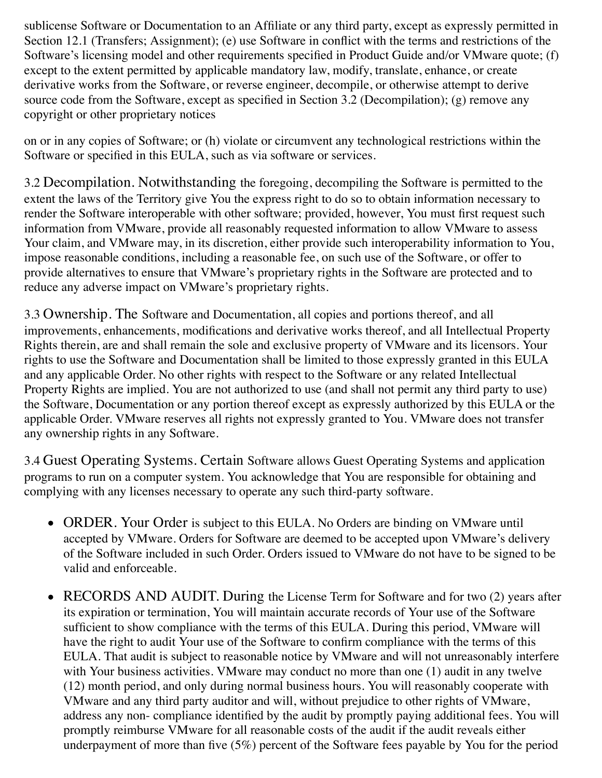sublicense Software or Documentation to an Affiliate or any third party, except as expressly permitted in Section 12.1 (Transfers; Assignment); (e) use Software in conflict with the terms and restrictions of the Software's licensing model and other requirements specified in Product Guide and/or VMware quote; (f) except to the extent permitted by applicable mandatory law, modify, translate, enhance, or create derivative works from the Software, or reverse engineer, decompile, or otherwise attempt to derive source code from the Software, except as specified in Section 3.2 (Decompilation); (g) remove any copyright or other proprietary notices

on or in any copies of Software; or (h) violate or circumvent any technological restrictions within the Software or specified in this EULA, such as via software or services.

3.2 Decompilation. Notwithstanding the foregoing, decompiling the Software is permitted to the extent the laws of the Territory give You the express right to do so to obtain information necessary to render the Software interoperable with other software; provided, however, You must first request such information from VMware, provide all reasonably requested information to allow VMware to assess Your claim, and VMware may, in its discretion, either provide such interoperability information to You, impose reasonable conditions, including a reasonable fee, on such use of the Software, or offer to provide alternatives to ensure that VMware's proprietary rights in the Software are protected and to reduce any adverse impact on VMware's proprietary rights.

3.3 Ownership. The Software and Documentation, all copies and portions thereof, and all improvements, enhancements, modifications and derivative works thereof, and all Intellectual Property Rights therein, are and shall remain the sole and exclusive property of VMware and its licensors. Your rights to use the Software and Documentation shall be limited to those expressly granted in this EULA and any applicable Order. No other rights with respect to the Software or any related Intellectual Property Rights are implied. You are not authorized to use (and shall not permit any third party to use) the Software, Documentation or any portion thereof except as expressly authorized by this EULA or the applicable Order. VMware reserves all rights not expressly granted to You. VMware does not transfer any ownership rights in any Software.

3.4 Guest Operating Systems. Certain Software allows Guest Operating Systems and application programs to run on a computer system. You acknowledge that You are responsible for obtaining and complying with any licenses necessary to operate any such third-party software.

- ORDER. Your Order is subject to this EULA. No Orders are binding on VMware until accepted by VMware. Orders for Software are deemed to be accepted upon VMware's delivery of the Software included in such Order. Orders issued to VMware do not have to be signed to be valid and enforceable.
- RECORDS AND AUDIT. During the License Term for Software and for two (2) years after its expiration or termination, You will maintain accurate records of Your use of the Software sufficient to show compliance with the terms of this EULA. During this period, VMware will have the right to audit Your use of the Software to confirm compliance with the terms of this EULA. That audit is subject to reasonable notice by VMware and will not unreasonably interfere with Your business activities. VMware may conduct no more than one (1) audit in any twelve (12) month period, and only during normal business hours. You will reasonably cooperate with VMware and any third party auditor and will, without prejudice to other rights of VMware, address any non- compliance identified by the audit by promptly paying additional fees. You will promptly reimburse VMware for all reasonable costs of the audit if the audit reveals either underpayment of more than five (5%) percent of the Software fees payable by You for the period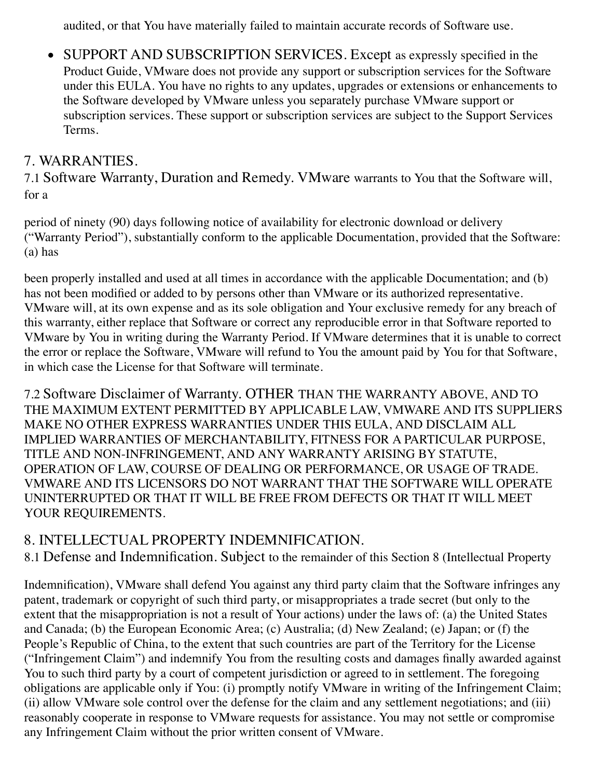audited, or that You have materially failed to maintain accurate records of Software use.

• SUPPORT AND SUBSCRIPTION SERVICES. Except as expressly specified in the Product Guide, VMware does not provide any support or subscription services for the Software under this EULA. You have no rights to any updates, upgrades or extensions or enhancements to the Software developed by VMware unless you separately purchase VMware support or subscription services. These support or subscription services are subject to the Support Services Terms.

### 7. WARRANTIES.

7.1 Software Warranty, Duration and Remedy. VMware warrants to You that the Software will, for a

period of ninety (90) days following notice of availability for electronic download or delivery ("Warranty Period"), substantially conform to the applicable Documentation, provided that the Software: (a) has

been properly installed and used at all times in accordance with the applicable Documentation; and (b) has not been modified or added to by persons other than VMware or its authorized representative. VMware will, at its own expense and as its sole obligation and Your exclusive remedy for any breach of this warranty, either replace that Software or correct any reproducible error in that Software reported to VMware by You in writing during the Warranty Period. If VMware determines that it is unable to correct the error or replace the Software, VMware will refund to You the amount paid by You for that Software, in which case the License for that Software will terminate.

7.2 Software Disclaimer of Warranty. OTHER THAN THE WARRANTY ABOVE, AND TO THE MAXIMUM EXTENT PERMITTED BY APPLICABLE LAW, VMWARE AND ITS SUPPLIERS MAKE NO OTHER EXPRESS WARRANTIES UNDER THIS EULA, AND DISCLAIM ALL IMPLIED WARRANTIES OF MERCHANTABILITY, FITNESS FOR A PARTICULAR PURPOSE, TITLE AND NON-INFRINGEMENT, AND ANY WARRANTY ARISING BY STATUTE, OPERATION OF LAW, COURSE OF DEALING OR PERFORMANCE, OR USAGE OF TRADE. VMWARE AND ITS LICENSORS DO NOT WARRANT THAT THE SOFTWARE WILL OPERATE UNINTERRUPTED OR THAT IT WILL BE FREE FROM DEFECTS OR THAT IT WILL MEET YOUR REQUIREMENTS.

#### 8. INTELLECTUAL PROPERTY INDEMNIFICATION.

8.1 Defense and Indemnification. Subject to the remainder of this Section 8 (Intellectual Property

Indemnification), VMware shall defend You against any third party claim that the Software infringes any patent, trademark or copyright of such third party, or misappropriates a trade secret (but only to the extent that the misappropriation is not a result of Your actions) under the laws of: (a) the United States and Canada; (b) the European Economic Area; (c) Australia; (d) New Zealand; (e) Japan; or (f) the People's Republic of China, to the extent that such countries are part of the Territory for the License ("Infringement Claim") and indemnify You from the resulting costs and damages finally awarded against You to such third party by a court of competent jurisdiction or agreed to in settlement. The foregoing obligations are applicable only if You: (i) promptly notify VMware in writing of the Infringement Claim; (ii) allow VMware sole control over the defense for the claim and any settlement negotiations; and (iii) reasonably cooperate in response to VMware requests for assistance. You may not settle or compromise any Infringement Claim without the prior written consent of VMware.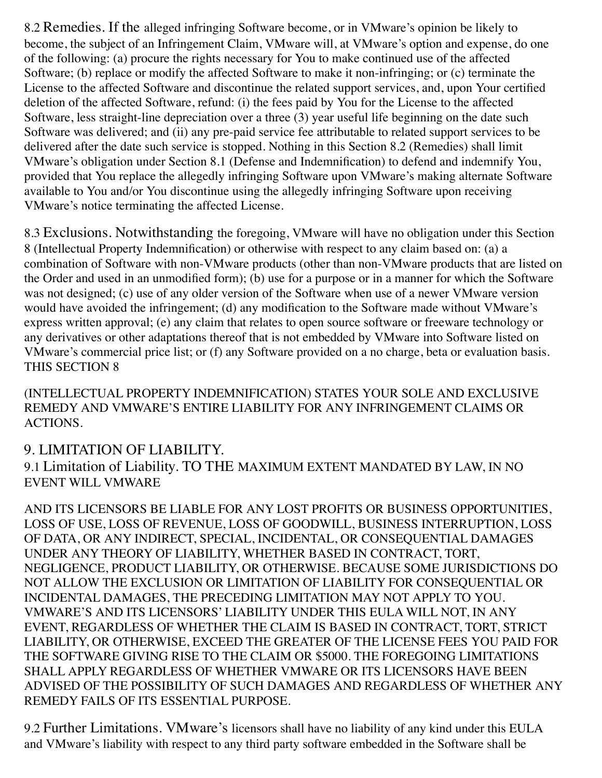8.2 Remedies. If the alleged infringing Software become, or in VMware's opinion be likely to become, the subject of an Infringement Claim, VMware will, at VMware's option and expense, do one of the following: (a) procure the rights necessary for You to make continued use of the affected Software; (b) replace or modify the affected Software to make it non-infringing; or (c) terminate the License to the affected Software and discontinue the related support services, and, upon Your certified deletion of the affected Software, refund: (i) the fees paid by You for the License to the affected Software, less straight-line depreciation over a three (3) year useful life beginning on the date such Software was delivered; and (ii) any pre-paid service fee attributable to related support services to be delivered after the date such service is stopped. Nothing in this Section 8.2 (Remedies) shall limit VMware's obligation under Section 8.1 (Defense and Indemnification) to defend and indemnify You, provided that You replace the allegedly infringing Software upon VMware's making alternate Software available to You and/or You discontinue using the allegedly infringing Software upon receiving VMware's notice terminating the affected License.

8.3 Exclusions. Notwithstanding the foregoing, VMware will have no obligation under this Section 8 (Intellectual Property Indemnification) or otherwise with respect to any claim based on: (a) a combination of Software with non-VMware products (other than non-VMware products that are listed on the Order and used in an unmodified form); (b) use for a purpose or in a manner for which the Software was not designed; (c) use of any older version of the Software when use of a newer VMware version would have avoided the infringement; (d) any modification to the Software made without VMware's express written approval; (e) any claim that relates to open source software or freeware technology or any derivatives or other adaptations thereof that is not embedded by VMware into Software listed on VMware's commercial price list; or (f) any Software provided on a no charge, beta or evaluation basis. THIS SECTION 8

(INTELLECTUAL PROPERTY INDEMNIFICATION) STATES YOUR SOLE AND EXCLUSIVE REMEDY AND VMWARE'S ENTIRE LIABILITY FOR ANY INFRINGEMENT CLAIMS OR ACTIONS.

#### 9. LIMITATION OF LIABILITY.

9.1 Limitation of Liability. TO THE MAXIMUM EXTENT MANDATED BY LAW, IN NO EVENT WILL VMWARE

AND ITS LICENSORS BE LIABLE FOR ANY LOST PROFITS OR BUSINESS OPPORTUNITIES, LOSS OF USE, LOSS OF REVENUE, LOSS OF GOODWILL, BUSINESS INTERRUPTION, LOSS OF DATA, OR ANY INDIRECT, SPECIAL, INCIDENTAL, OR CONSEQUENTIAL DAMAGES UNDER ANY THEORY OF LIABILITY, WHETHER BASED IN CONTRACT, TORT, NEGLIGENCE, PRODUCT LIABILITY, OR OTHERWISE. BECAUSE SOME JURISDICTIONS DO NOT ALLOW THE EXCLUSION OR LIMITATION OF LIABILITY FOR CONSEQUENTIAL OR INCIDENTAL DAMAGES, THE PRECEDING LIMITATION MAY NOT APPLY TO YOU. VMWARE'S AND ITS LICENSORS' LIABILITY UNDER THIS EULA WILL NOT, IN ANY EVENT, REGARDLESS OF WHETHER THE CLAIM IS BASED IN CONTRACT, TORT, STRICT LIABILITY, OR OTHERWISE, EXCEED THE GREATER OF THE LICENSE FEES YOU PAID FOR THE SOFTWARE GIVING RISE TO THE CLAIM OR \$5000. THE FOREGOING LIMITATIONS SHALL APPLY REGARDLESS OF WHETHER VMWARE OR ITS LICENSORS HAVE BEEN ADVISED OF THE POSSIBILITY OF SUCH DAMAGES AND REGARDLESS OF WHETHER ANY REMEDY FAILS OF ITS ESSENTIAL PURPOSE.

9.2 Further Limitations. VMware's licensors shall have no liability of any kind under this EULA and VMware's liability with respect to any third party software embedded in the Software shall be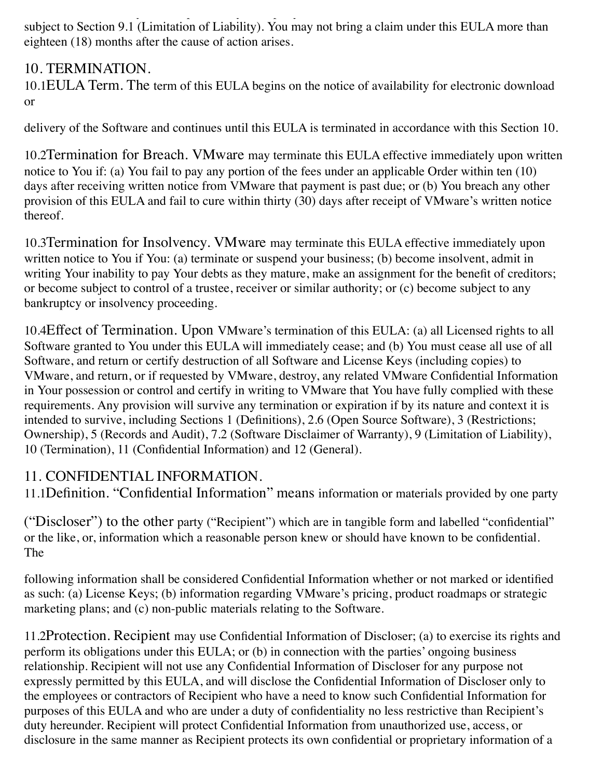and VMware's liability with respect to any third party software embedded in the Software shall be  $S$ subject to Section 9.1 (Limitation of Liability). You may not bring a claim under this EULA more than eighteen (18) months after the cause of action arises.

#### 10. TERMINATION.

10.1EULA Term. The term of this EULA begins on the notice of availability for electronic download or

delivery of the Software and continues until this EULA is terminated in accordance with this Section 10.

10.2Termination for Breach. VMware may terminate this EULA effective immediately upon written notice to You if: (a) You fail to pay any portion of the fees under an applicable Order within ten (10) days after receiving written notice from VMware that payment is past due; or (b) You breach any other provision of this EULA and fail to cure within thirty (30) days after receipt of VMware's written notice thereof.

10.3Termination for Insolvency. VMware may terminate this EULA effective immediately upon written notice to You if You: (a) terminate or suspend your business; (b) become insolvent, admit in writing Your inability to pay Your debts as they mature, make an assignment for the benefit of creditors; or become subject to control of a trustee, receiver or similar authority; or (c) become subject to any bankruptcy or insolvency proceeding.

10.4Effect of Termination. Upon VMware's termination of this EULA: (a) all Licensed rights to all Software granted to You under this EULA will immediately cease; and (b) You must cease all use of all Software, and return or certify destruction of all Software and License Keys (including copies) to VMware, and return, or if requested by VMware, destroy, any related VMware Confidential Information in Your possession or control and certify in writing to VMware that You have fully complied with these requirements. Any provision will survive any termination or expiration if by its nature and context it is intended to survive, including Sections 1 (Definitions), 2.6 (Open Source Software), 3 (Restrictions; Ownership), 5 (Records and Audit), 7.2 (Software Disclaimer of Warranty), 9 (Limitation of Liability), 10 (Termination), 11 (Confidential Information) and 12 (General).

#### 11. CONFIDENTIAL INFORMATION.

11.1Definition. "Confidential Information" means information or materials provided by one party

("Discloser") to the other party ("Recipient") which are in tangible form and labelled "confidential" or the like, or, information which a reasonable person knew or should have known to be confidential. The

following information shall be considered Confidential Information whether or not marked or identified as such: (a) License Keys; (b) information regarding VMware's pricing, product roadmaps or strategic marketing plans; and (c) non-public materials relating to the Software.

11.2Protection. Recipient may use Confidential Information of Discloser; (a) to exercise its rights and perform its obligations under this EULA; or (b) in connection with the parties' ongoing business relationship. Recipient will not use any Confidential Information of Discloser for any purpose not expressly permitted by this EULA, and will disclose the Confidential Information of Discloser only to the employees or contractors of Recipient who have a need to know such Confidential Information for purposes of this EULA and who are under a duty of confidentiality no less restrictive than Recipient's duty hereunder. Recipient will protect Confidential Information from unauthorized use, access, or disclosure in the same manner as Recipient protects its own confidential or proprietary information of a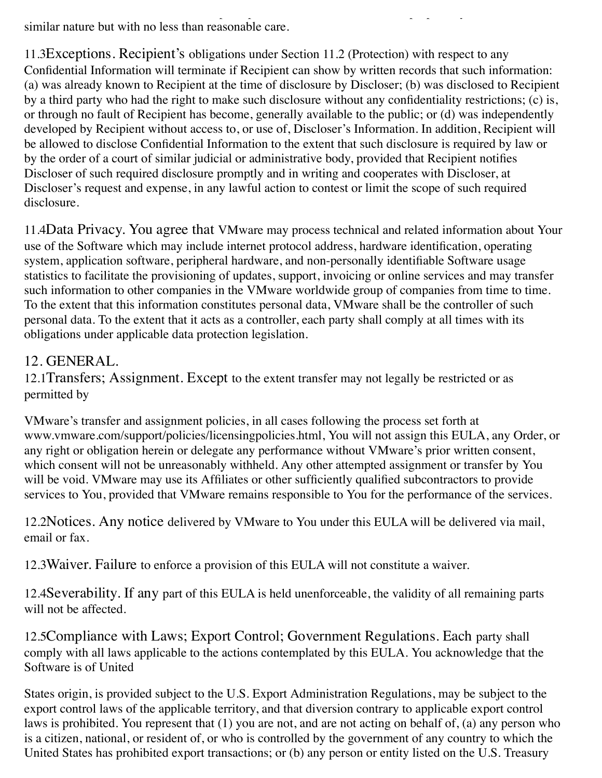disclosure in the same manner as Recipient protects its own confidential or proprietary information of a similar nature but with no less than reasonable care.

11.3Exceptions. Recipient's obligations under Section 11.2 (Protection) with respect to any Confidential Information will terminate if Recipient can show by written records that such information: (a) was already known to Recipient at the time of disclosure by Discloser; (b) was disclosed to Recipient by a third party who had the right to make such disclosure without any confidentiality restrictions; (c) is, or through no fault of Recipient has become, generally available to the public; or (d) was independently developed by Recipient without access to, or use of, Discloser's Information. In addition, Recipient will be allowed to disclose Confidential Information to the extent that such disclosure is required by law or by the order of a court of similar judicial or administrative body, provided that Recipient notifies Discloser of such required disclosure promptly and in writing and cooperates with Discloser, at Discloser's request and expense, in any lawful action to contest or limit the scope of such required disclosure.

11.4Data Privacy. You agree that VMware may process technical and related information about Your use of the Software which may include internet protocol address, hardware identification, operating system, application software, peripheral hardware, and non-personally identifiable Software usage statistics to facilitate the provisioning of updates, support, invoicing or online services and may transfer such information to other companies in the VMware worldwide group of companies from time to time. To the extent that this information constitutes personal data, VMware shall be the controller of such personal data. To the extent that it acts as a controller, each party shall comply at all times with its obligations under applicable data protection legislation.

### 12. GENERAL.

12.1Transfers; Assignment. Except to the extent transfer may not legally be restricted or as permitted by

VMware's transfer and assignment policies, in all cases following the process set forth at www.vmware.com/support/policies/licensingpolicies.html, You will not assign this EULA, any Order, or any right or obligation herein or delegate any performance without VMware's prior written consent, which consent will not be unreasonably withheld. Any other attempted assignment or transfer by You will be void. VMware may use its Affiliates or other sufficiently qualified subcontractors to provide services to You, provided that VMware remains responsible to You for the performance of the services.

12.2Notices. Any notice delivered by VMware to You under this EULA will be delivered via mail, email or fax.

12.3Waiver. Failure to enforce a provision of this EULA will not constitute a waiver.

12.4Severability. If any part of this EULA is held unenforceable, the validity of all remaining parts will not be affected.

12.5Compliance with Laws; Export Control; Government Regulations. Each party shall comply with all laws applicable to the actions contemplated by this EULA. You acknowledge that the Software is of United

States origin, is provided subject to the U.S. Export Administration Regulations, may be subject to the export control laws of the applicable territory, and that diversion contrary to applicable export control laws is prohibited. You represent that (1) you are not, and are not acting on behalf of, (a) any person who is a citizen, national, or resident of, or who is controlled by the government of any country to which the United States has prohibited export transactions; or (b) any person or entity listed on the U.S. Treasury